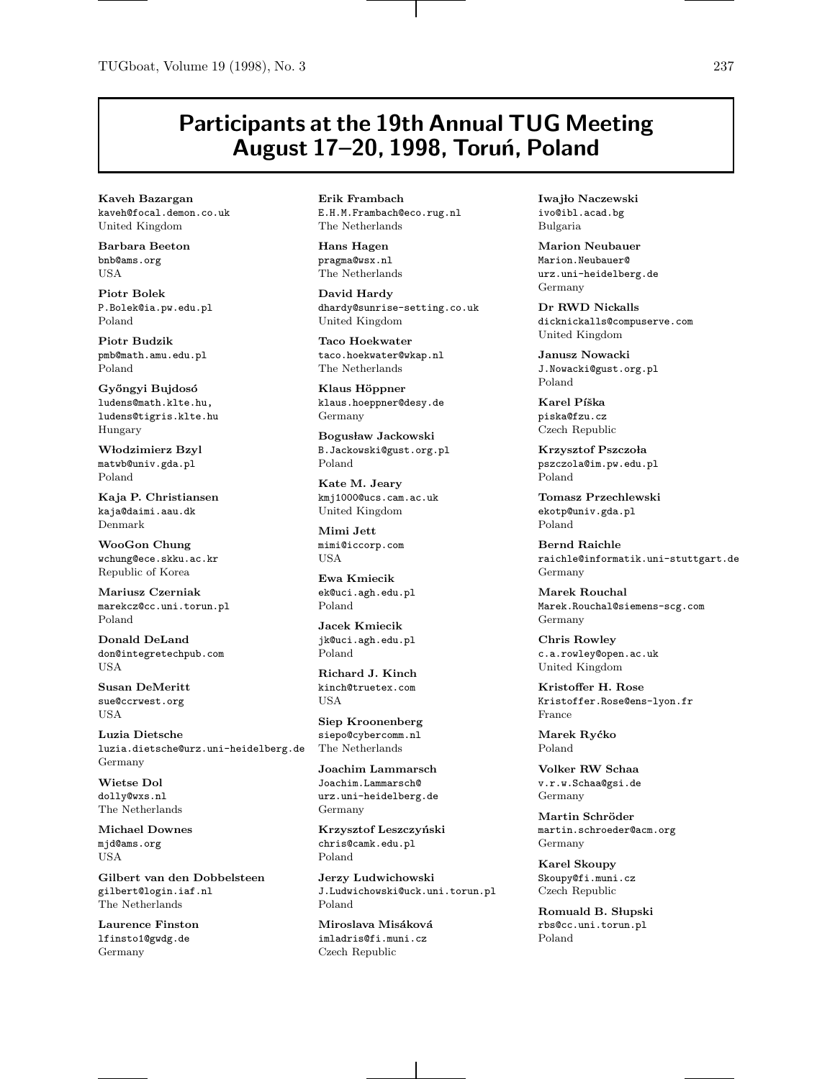## **Participants at the 19th Annual TUG Meeting August 17–20, 1998, Toru´n, Poland**

**Kaveh Bazargan** kaveh@focal.demon.co.uk United Kingdom

**Barbara Beeton** bnb@ams.org USA

**Piotr Bolek** P.Bolek@ia.pw.edu.pl Poland

**Piotr Budzik** pmb@math.amu.edu.pl Poland

**Gy˝ongyi Bujdos´o** ludens@math.klte.hu, ludens@tigris.klte.hu Hungary

**W lodzimierz Bzyl** matwb@univ.gda.pl Poland

**Kaja P. Christiansen** kaja@daimi.aau.dk Denmark

**WooGon Chung** wchung@ece.skku.ac.kr Republic of Korea

**Mariusz Czerniak** marekcz@cc.uni.torun.pl Poland

**Donald DeLand** don@integretechpub.com USA

**Susan DeMeritt** sue@ccrwest.org USA

**Luzia Dietsche** luzia.dietsche@urz.uni-heidelberg.de Germany

**Wietse Dol** dolly@wxs.nl The Netherlands

**Michael Downes** mjd@ams.org USA

**Gilbert van den Dobbelsteen** gilbert@login.iaf.nl The Netherlands

**Laurence Finston** lfinsto1@gwdg.de Germany

**Erik Frambach** E.H.M.Frambach@eco.rug.nl The Netherlands

**Hans Hagen** pragma@wsx.nl The Netherlands

**David Hardy** dhardy@sunrise-setting.co.uk United Kingdom

**Taco Hoekwater** taco.hoekwater@wkap.nl The Netherlands

**Klaus H¨oppner** klaus.hoeppner@desy.de Germany

**Bogus law Jackowski** B.Jackowski@gust.org.pl Poland

**Kate M. Jeary** kmj1000@ucs.cam.ac.uk United Kingdom

**Mimi Jett** mimi@iccorp.com USA

**Ewa Kmiecik** ek@uci.agh.edu.pl Poland

**Jacek Kmiecik** jk@uci.agh.edu.pl Poland

**Richard J. Kinch** kinch@truetex.com USA

**Siep Kroonenberg** siepo@cybercomm.nl The Netherlands

**Joachim Lammarsch** Joachim.Lammarsch@ urz.uni-heidelberg.de Germany

**Krzysztof Leszczy´nski** chris@camk.edu.pl Poland

**Jerzy Ludwichowski** J.Ludwichowski@uck.uni.torun.pl Poland

**Miroslava Misáková** imladris@fi.muni.cz Czech Republic

**Iwajło Naczewski** ivo@ibl.acad.bg Bulgaria

**Marion Neubauer** Marion.Neubauer@ urz.uni-heidelberg.de Germany

**Dr RWD Nickalls** dicknickalls@compuserve.com United Kingdom

**Janusz Nowacki** J.Nowacki@gust.org.pl Poland

**Karel Píška** piska@fzu.cz Czech Republic

**Krzysztof Pszczo la** pszczola@im.pw.edu.pl Poland

**Tomasz Przechlewski** ekotp@univ.gda.pl Poland

**Bernd Raichle** raichle@informatik.uni-stuttgart.de Germany

**Marek Rouchal** Marek.Rouchal@siemens-scg.com Germany

**Chris Rowley** c.a.rowley@open.ac.uk United Kingdom

**Kristoffer H. Rose** Kristoffer.Rose@ens-lyon.fr France

**Marek Ry´cko** Poland

**Volker RW Schaa** v.r.w.Schaa@gsi.de Germany

**Martin Schr¨oder** martin.schroeder@acm.org Germany

**Karel Skoupy** Skoupy@fi.muni.cz Czech Republic

**Romuald B. Słupski** rbs@cc.uni.torun.pl Poland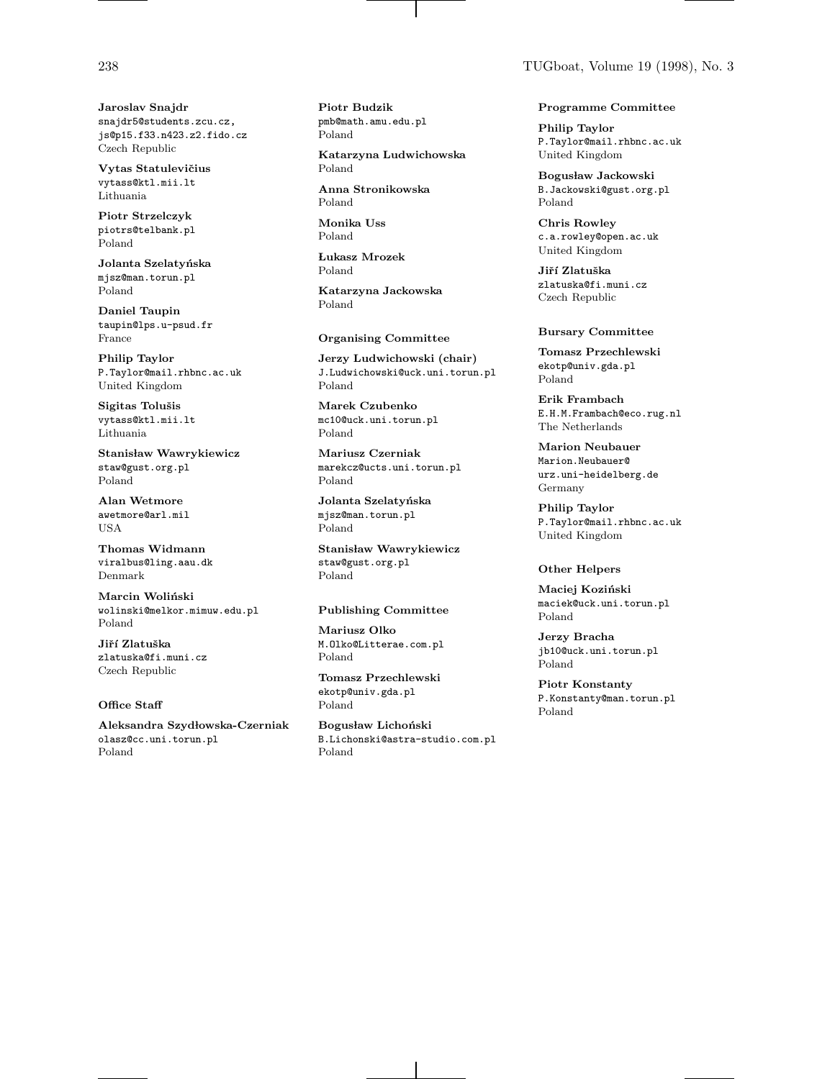**Jaroslav Snajdr** snajdr5@students.zcu.cz, js@p15.f33.n423.z2.fido.cz Czech Republic

**Vytas Statuleviˇcius** vytass@ktl.mii.lt Lithuania

**Piotr Strzelczyk** piotrs@telbank.pl Poland

**Jolanta Szelaty´nska** mjsz@man.torun.pl Poland

**Daniel Taupin** taupin@lps.u-psud.fr France

**Philip Taylor** P.Taylor@mail.rhbnc.ac.uk United Kingdom

Sigitas Tolušis vytass@ktl.mii.lt Lithuania

**Stanisław Wawrykiewicz** staw@gust.org.pl Poland

**Alan Wetmore** awetmore@arl.mil USA

**Thomas Widmann** viralbus@ling.aau.dk Denmark

**Marcin Woliński** wolinski@melkor.mimuw.edu.pl Poland

**Jiˇr´ı Zlatuˇska** zlatuska@fi.muni.cz Czech Republic

## **Office Staff**

**Aleksandra Szyd lowska-Czerniak** olasz@cc.uni.torun.pl Poland

**Piotr Budzik** pmb@math.amu.edu.pl Poland

**Katarzyna Ludwichowska** Poland

**Anna Stronikowska** Poland

**Monika Uss** Poland

**Lukasz Mrozek**  Poland

**Katarzyna Jackowska** Poland

## **Organising Committee**

**Jerzy Ludwichowski (chair)** J.Ludwichowski@uck.uni.torun.pl Poland

**Marek Czubenko** mc10@uck.uni.torun.pl Poland

**Mariusz Czerniak** marekcz@ucts.uni.torun.pl Poland

**Jolanta Szelaty´nska** mjsz@man.torun.pl Poland

Stanisław Wawrykiewicz staw@gust.org.pl Poland

### **Publishing Committee**

**Mariusz Olko** M.Olko@Litterae.com.pl Poland

**Tomasz Przechlewski** ekotp@univ.gda.pl Poland

**Bogus law Licho´nski** B.Lichonski@astra-studio.com.pl Poland

### **Programme Committee**

**Philip Taylor** P.Taylor@mail.rhbnc.ac.uk United Kingdom

**Bogus law Jackowski** B.Jackowski@gust.org.pl Poland

**Chris Rowley** c.a.rowley@open.ac.uk United Kingdom

**Jiˇr´ı Zlatuˇska** zlatuska@fi.muni.cz Czech Republic

## **Bursary Committee**

**Tomasz Przechlewski** ekotp@univ.gda.pl Poland

**Erik Frambach** E.H.M.Frambach@eco.rug.nl The Netherlands

**Marion Neubauer** Marion.Neubauer@ urz.uni-heidelberg.de Germany

**Philip Taylor** P.Taylor@mail.rhbnc.ac.uk United Kingdom

## **Other Helpers**

**Maciej Koziński** maciek@uck.uni.torun.pl Poland

**Jerzy Bracha** jb10@uck.uni.torun.pl Poland

**Piotr Konstanty** P.Konstanty@man.torun.pl Poland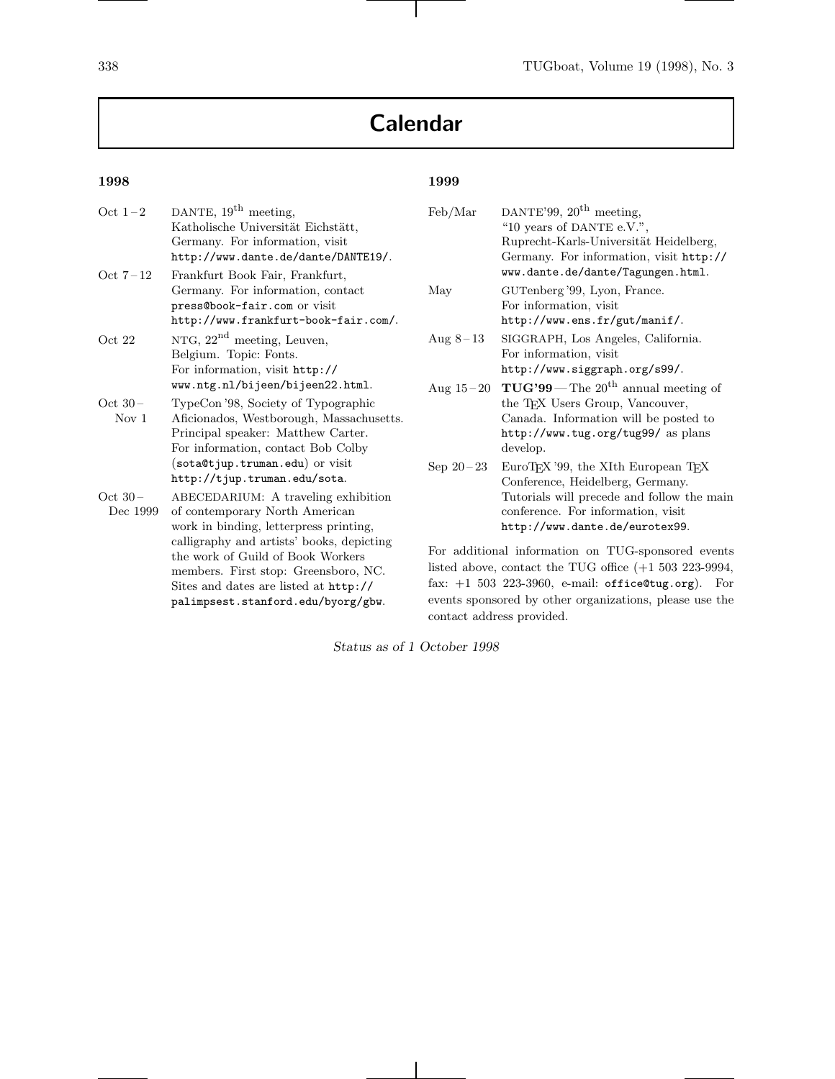# **Calendar**

## **1998**

| Oct $1-2$        | DANTE, $19^{\text{th}}$ meeting,          | I          |
|------------------|-------------------------------------------|------------|
|                  | Katholische Universität Eichstätt,        |            |
|                  | Germany. For information, visit           |            |
|                  | http://www.dante.de/dante/DANTE19/.       |            |
| Oct $7-12$       | Frankfurt Book Fair, Frankfurt,           |            |
|                  | Germany. For information, contact         | ľ          |
|                  | press@book-fair.com or visit              |            |
|                  | http://www.frankfurt-book-fair.com/.      |            |
| Oct 22           | NTG, $22^{\text{nd}}$ meeting, Leuven,    | 1          |
|                  | Belgium. Topic: Fonts.                    |            |
|                  | For information, visit http://            |            |
|                  | www.ntg.nl/bijeen/bijeen22.html.          |            |
| Oct $30-$        | TypeCon '98, Society of Typographic       |            |
| Nov <sub>1</sub> | Aficionados, Westborough, Massachusetts.  |            |
|                  | Principal speaker: Matthew Carter.        |            |
|                  | For information, contact Bob Colby        |            |
|                  | (sota@tjup.truman.edu) or visit           | ξ          |
|                  | http://tjup.truman.edu/sota.              |            |
| $Oct 30-$        | ABECEDARIUM: A traveling exhibition       |            |
| Dec 1999         | of contemporary North American            |            |
|                  | work in binding, letterpress printing,    |            |
|                  | calligraphy and artists' books, depicting |            |
|                  | the work of Guild of Book Workers         | I          |
|                  | members. First stop: Greensboro, NC.      | l          |
|                  | Sites and dates are listed at http://     | f          |
|                  | palimpsest.stanford.edu/byorg/gbw.        | $\epsilon$ |

## **1999**

| Feb/Mar     | DANTE'99, $20^{\text{th}}$ meeting,<br>"10 years of DANTE e.V.",                                                   |  |
|-------------|--------------------------------------------------------------------------------------------------------------------|--|
|             | Ruprecht-Karls-Universität Heidelberg,                                                                             |  |
|             | Germany. For information, visit http://<br>www.dante.de/dante/Tagungen.html.                                       |  |
| May         | GUTenberg '99, Lyon, France.<br>For information, visit                                                             |  |
|             | http://www.ens.fr/gut/manif/.                                                                                      |  |
| Aug $8-13$  | SIGGRAPH, Los Angeles, California.<br>For information, visit                                                       |  |
|             | http://www.siggraph.org/s99/.                                                                                      |  |
| Aug $15-20$ | $TUG'99 - The 20th annual meeting of$<br>the T <sub>F</sub> X Users Group, Vancouver,                              |  |
|             | Canada. Information will be posted to                                                                              |  |
|             | http://www.tug.org/tug99/as plans<br>develop.                                                                      |  |
| Sep $20-23$ | EuroTFX '99, the XIth European TFX<br>Conference, Heidelberg, Germany.                                             |  |
|             | Tutorials will precede and follow the main<br>conference. For information, visit<br>http://www.dante.de/eurotex99. |  |
|             | For additional information on TUG-sponsored events                                                                 |  |
|             |                                                                                                                    |  |

listed above, contact the TUG office (+1 503 223-9994, fax: +1 503 223-3960, e-mail: office@tug.org). For events sponsored by other organizations, please use the contact address provided.

*Status as of 1 October 1998*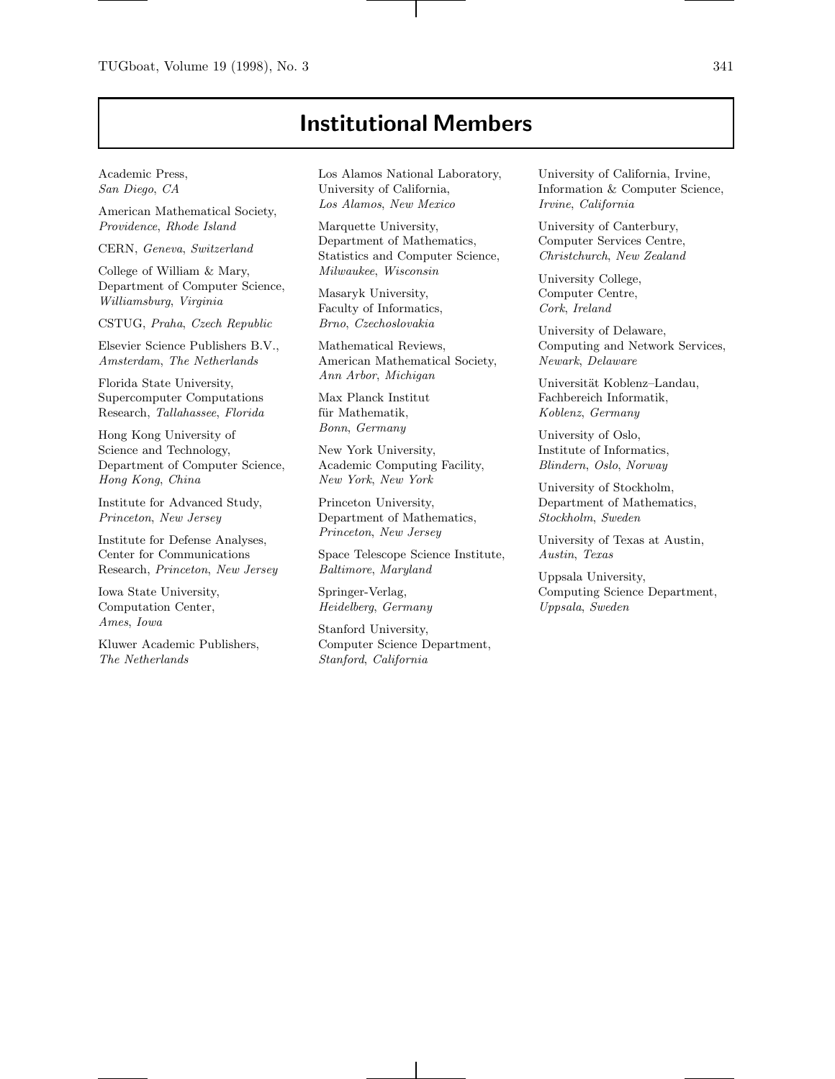## **Institutional Members**

Academic Press, San Diego, CA

American Mathematical Society, Providence, Rhode Island

CERN, Geneva, Switzerland

College of William & Mary, Department of Computer Science, Williamsburg, Virginia

CSTUG, Praha, Czech Republic

Elsevier Science Publishers B.V., Amsterdam, The Netherlands

Florida State University, Supercomputer Computations Research, Tallahassee, Florida

Hong Kong University of Science and Technology, Department of Computer Science, Hong Kong, China

Institute for Advanced Study, Princeton, New Jersey

Institute for Defense Analyses, Center for Communications Research, Princeton, New Jersey

Iowa State University, Computation Center, Ames, Iowa

Kluwer Academic Publishers, The Netherlands

Los Alamos National Laboratory, University of California, Los Alamos, New Mexico

Marquette University, Department of Mathematics, Statistics and Computer Science, Milwaukee, Wisconsin

Masaryk University, Faculty of Informatics, Brno, Czechoslovakia

Mathematical Reviews, American Mathematical Society, Ann Arbor, Michigan

Max Planck Institut für Mathematik, Bonn, Germany

New York University, Academic Computing Facility, New York, New York

Princeton University, Department of Mathematics, Princeton, New Jersey

Space Telescope Science Institute, Baltimore, Maryland

Springer-Verlag, Heidelberg, Germany

Stanford University, Computer Science Department, Stanford, California

University of California, Irvine, Information & Computer Science, Irvine, California

University of Canterbury, Computer Services Centre, Christchurch, New Zealand

University College, Computer Centre, Cork, Ireland

University of Delaware, Computing and Network Services, Newark, Delaware

Universität Koblenz-Landau, Fachbereich Informatik, Koblenz, Germany

University of Oslo, Institute of Informatics, Blindern, Oslo, Norway

University of Stockholm, Department of Mathematics, Stockholm, Sweden

University of Texas at Austin, Austin, Texas

Uppsala University, Computing Science Department, Uppsala, Sweden